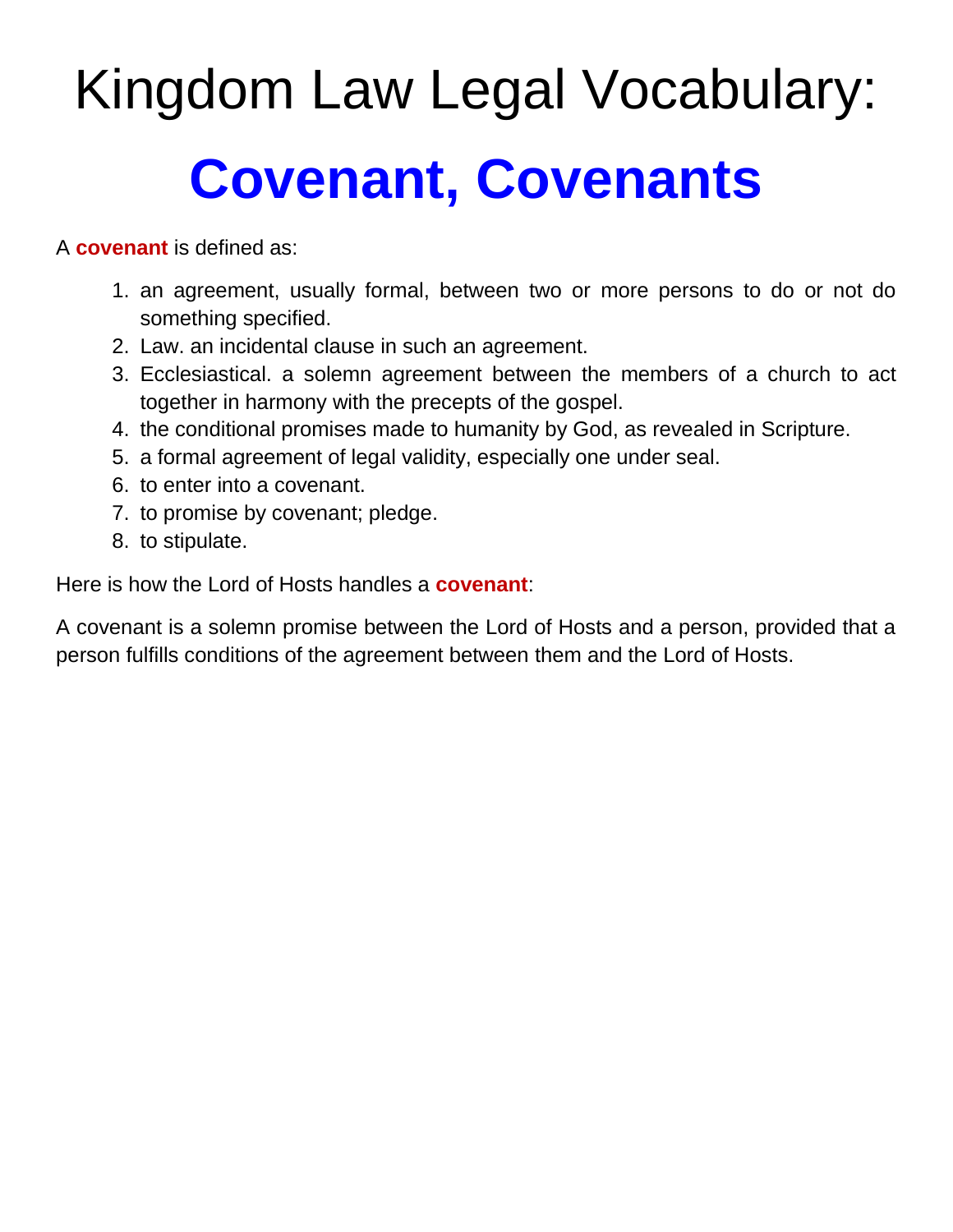# Kingdom Law Legal Vocabulary: **Covenant, Covenants**

A **covenant** is defined as:

- 1. an agreement, usually formal, between two or more persons to do or not do something specified.
- 2. Law. an incidental clause in such an agreement.
- 3. Ecclesiastical. a solemn agreement between the members of a church to act together in harmony with the precepts of the gospel.
- 4. the conditional promises made to humanity by God, as revealed in Scripture.
- 5. a formal agreement of legal validity, especially one under seal.
- 6. to enter into a covenant.
- 7. to promise by covenant; pledge.
- 8. to stipulate.

Here is how the Lord of Hosts handles a **covenant**:

A covenant is a solemn promise between the Lord of Hosts and a person, provided that a person fulfills conditions of the agreement between them and the Lord of Hosts.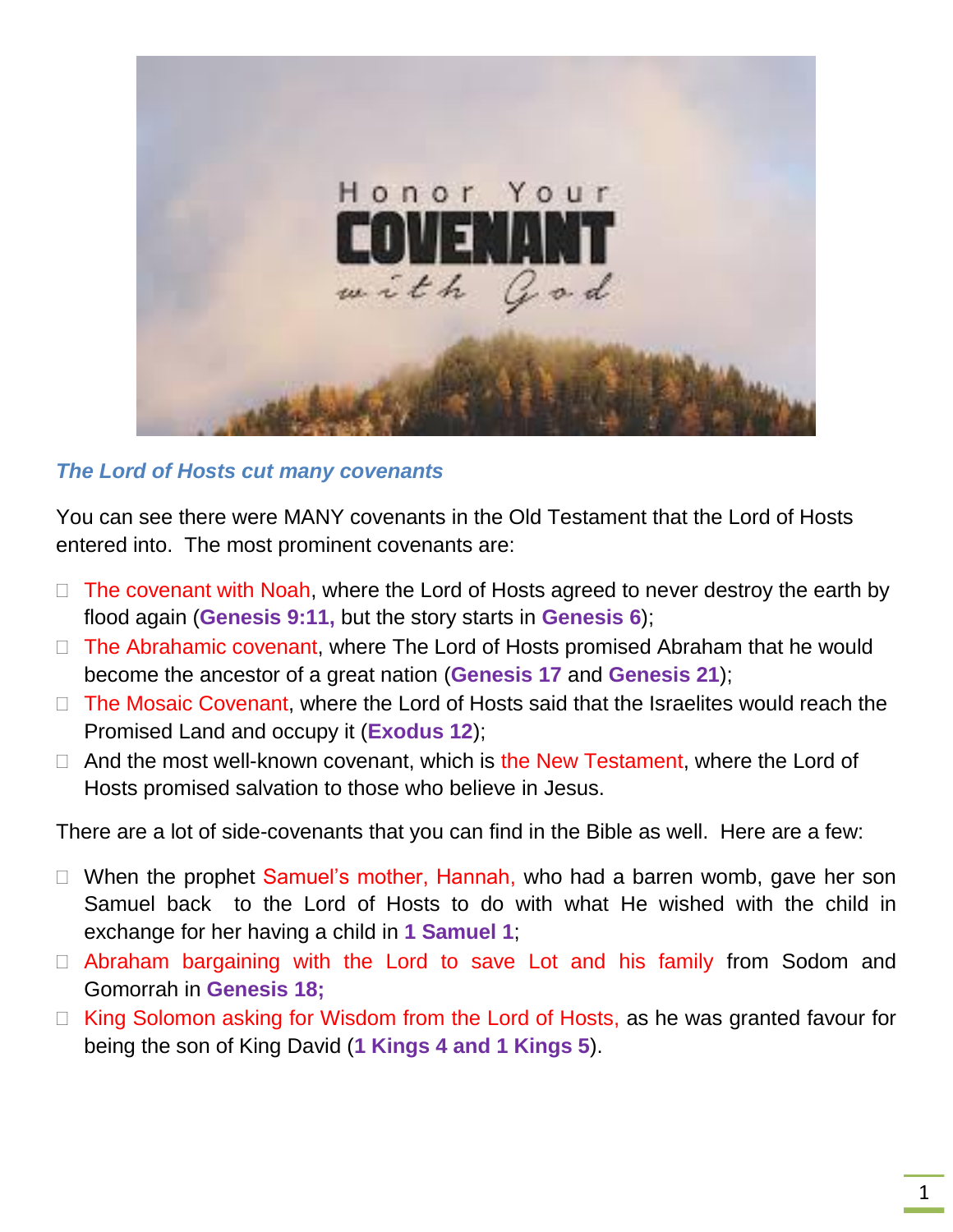

#### *The Lord of Hosts cut many covenants*

You can see there were MANY covenants in the Old Testament that the Lord of Hosts entered into. The most prominent covenants are:

- $\Box$  The covenant with Noah, where the Lord of Hosts agreed to never destroy the earth by flood again (**Genesis 9:11,** but the story starts in **Genesis 6**);
- $\Box$  The Abrahamic covenant, where The Lord of Hosts promised Abraham that he would become the ancestor of a great nation (**Genesis 17** and **Genesis 21**);
- $\Box$  The Mosaic Covenant, where the Lord of Hosts said that the Israelites would reach the Promised Land and occupy it (**Exodus 12**);
- $\Box$  And the most well-known covenant, which is the New Testament, where the Lord of Hosts promised salvation to those who believe in Jesus.

There are a lot of side-covenants that you can find in the Bible as well. Here are a few:

- $\Box$  When the prophet Samuel's mother, Hannah, who had a barren womb, gave her son Samuel back to the Lord of Hosts to do with what He wished with the child in exchange for her having a child in **1 Samuel 1**;
- □ Abraham bargaining with the Lord to save Lot and his family from Sodom and Gomorrah in **Genesis 18;**
- $\Box$  King Solomon asking for Wisdom from the Lord of Hosts, as he was granted favour for being the son of King David (**1 Kings 4 and 1 Kings 5**).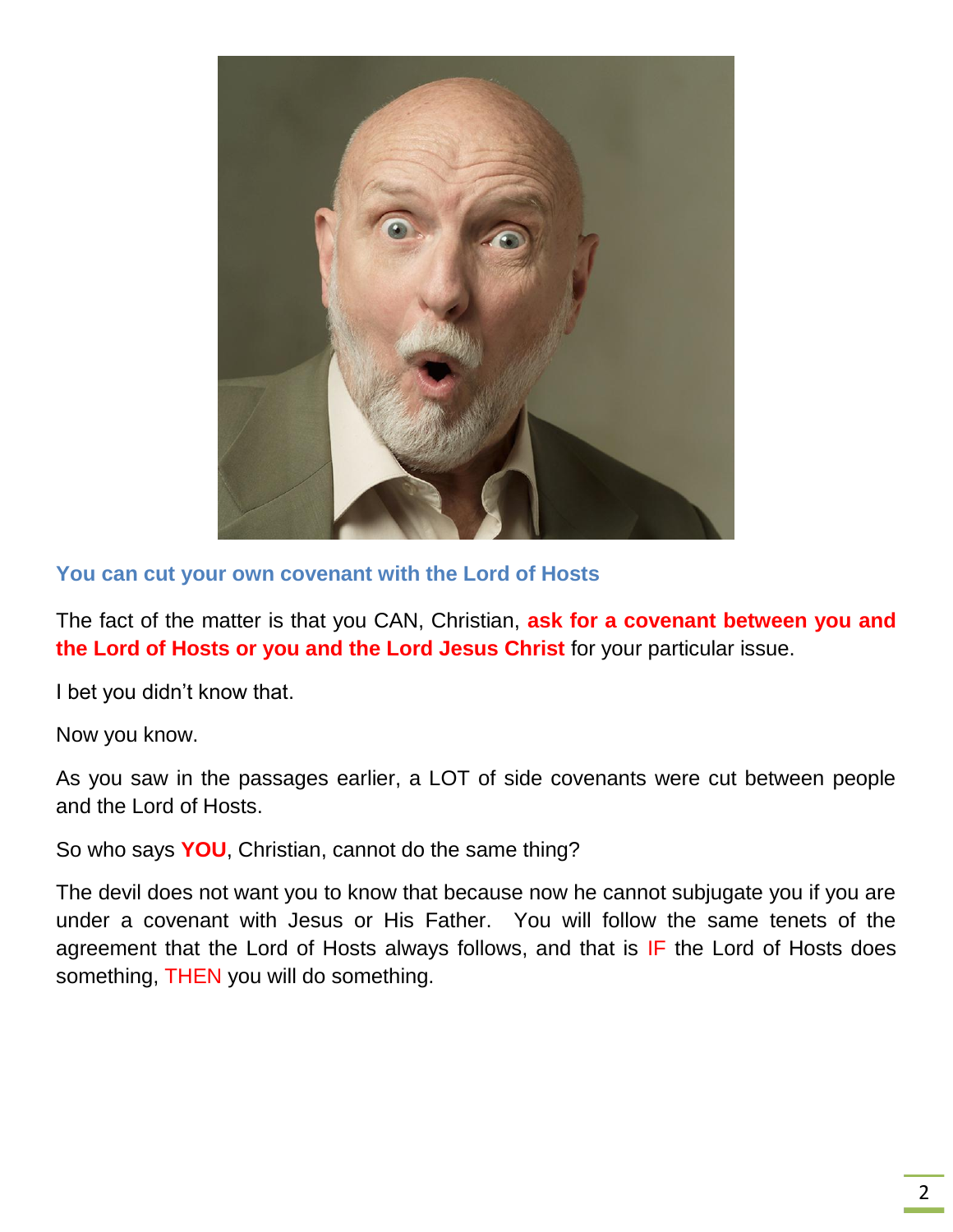

**You can cut your own covenant with the Lord of Hosts**

The fact of the matter is that you CAN, Christian, **ask for a covenant between you and the Lord of Hosts or you and the Lord Jesus Christ** for your particular issue.

I bet you didn't know that.

Now you know.

As you saw in the passages earlier, a LOT of side covenants were cut between people and the Lord of Hosts.

So who says **YOU**, Christian, cannot do the same thing?

The devil does not want you to know that because now he cannot subjugate you if you are under a covenant with Jesus or His Father. You will follow the same tenets of the agreement that the Lord of Hosts always follows, and that is IF the Lord of Hosts does something, THEN you will do something.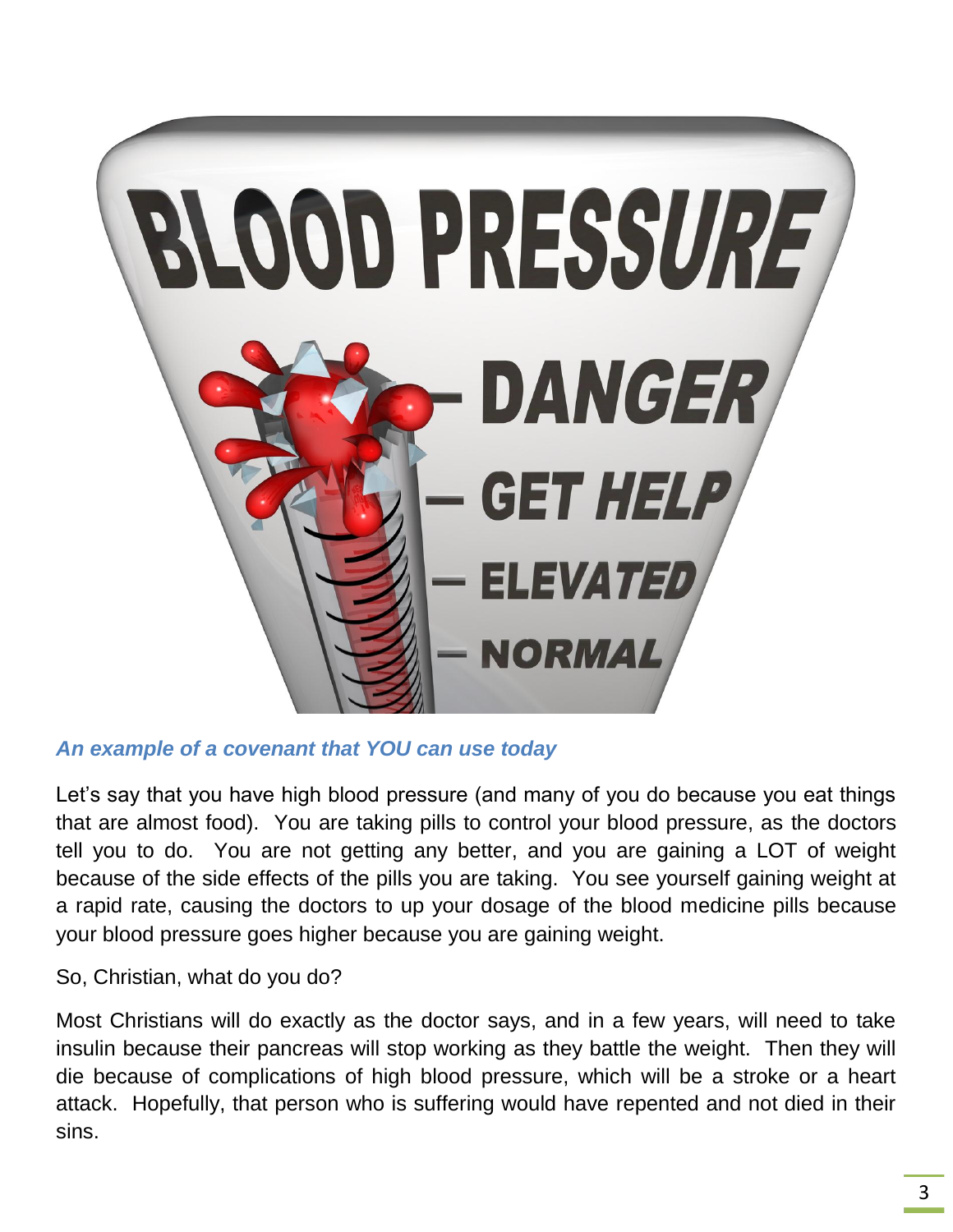

#### *An example of a covenant that YOU can use today*

Let's say that you have high blood pressure (and many of you do because you eat things that are almost food). You are taking pills to control your blood pressure, as the doctors tell you to do. You are not getting any better, and you are gaining a LOT of weight because of the side effects of the pills you are taking. You see yourself gaining weight at a rapid rate, causing the doctors to up your dosage of the blood medicine pills because your blood pressure goes higher because you are gaining weight.

So, Christian, what do you do?

Most Christians will do exactly as the doctor says, and in a few years, will need to take insulin because their pancreas will stop working as they battle the weight. Then they will die because of complications of high blood pressure, which will be a stroke or a heart attack. Hopefully, that person who is suffering would have repented and not died in their sins.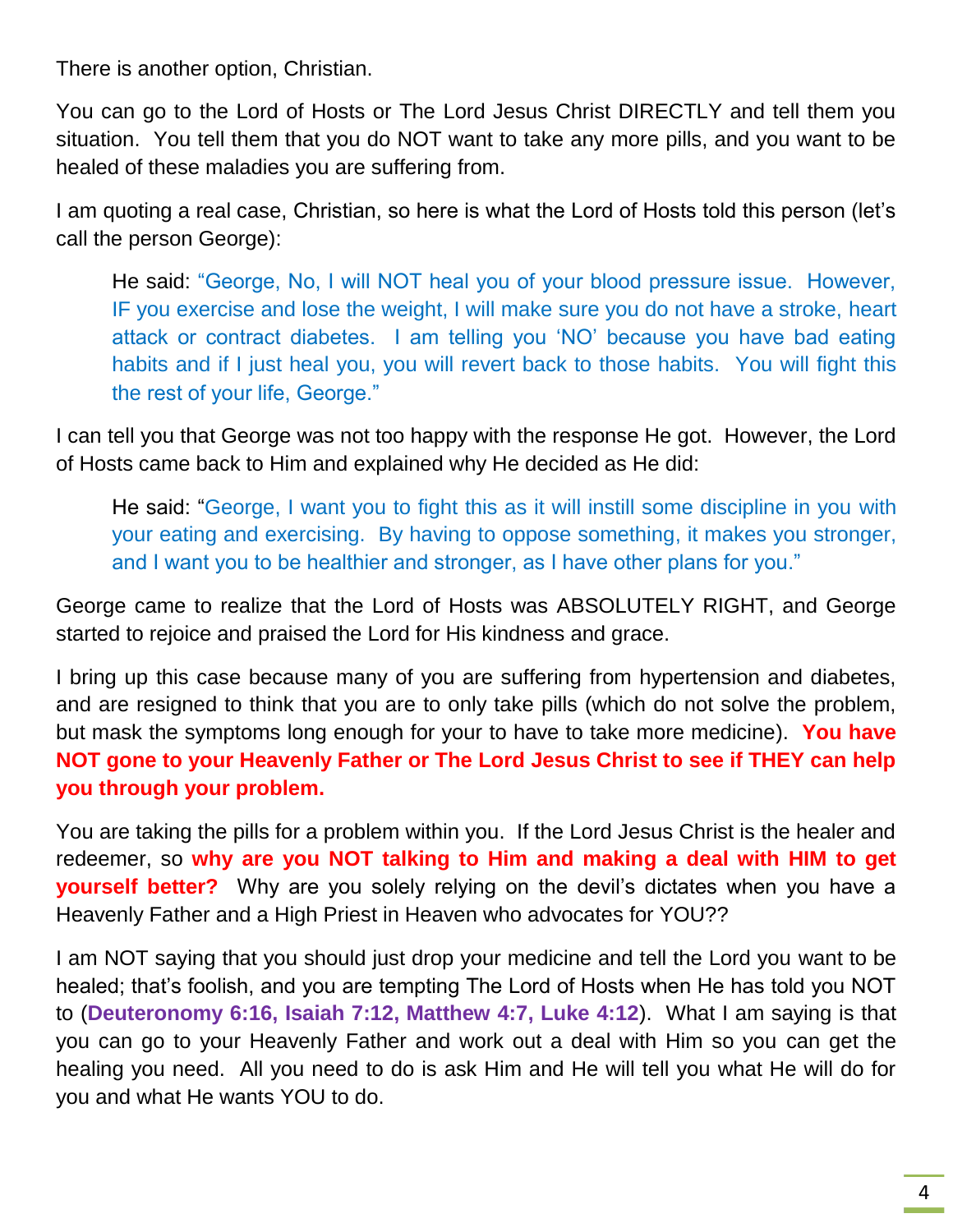There is another option, Christian.

You can go to the Lord of Hosts or The Lord Jesus Christ DIRECTLY and tell them you situation. You tell them that you do NOT want to take any more pills, and you want to be healed of these maladies you are suffering from.

I am quoting a real case, Christian, so here is what the Lord of Hosts told this person (let's call the person George):

He said: "George, No, I will NOT heal you of your blood pressure issue. However, IF you exercise and lose the weight, I will make sure you do not have a stroke, heart attack or contract diabetes. I am telling you 'NO' because you have bad eating habits and if I just heal you, you will revert back to those habits. You will fight this the rest of your life, George."

I can tell you that George was not too happy with the response He got. However, the Lord of Hosts came back to Him and explained why He decided as He did:

He said: "George, I want you to fight this as it will instill some discipline in you with your eating and exercising. By having to oppose something, it makes you stronger, and I want you to be healthier and stronger, as I have other plans for you."

George came to realize that the Lord of Hosts was ABSOLUTELY RIGHT, and George started to rejoice and praised the Lord for His kindness and grace.

I bring up this case because many of you are suffering from hypertension and diabetes, and are resigned to think that you are to only take pills (which do not solve the problem, but mask the symptoms long enough for your to have to take more medicine). **You have NOT gone to your Heavenly Father or The Lord Jesus Christ to see if THEY can help you through your problem.**

You are taking the pills for a problem within you. If the Lord Jesus Christ is the healer and redeemer, so **why are you NOT talking to Him and making a deal with HIM to get yourself better?** Why are you solely relying on the devil's dictates when you have a Heavenly Father and a High Priest in Heaven who advocates for YOU??

I am NOT saying that you should just drop your medicine and tell the Lord you want to be healed; that's foolish, and you are tempting The Lord of Hosts when He has told you NOT to (**Deuteronomy 6:16, Isaiah 7:12, Matthew 4:7, Luke 4:12**). What I am saying is that you can go to your Heavenly Father and work out a deal with Him so you can get the healing you need. All you need to do is ask Him and He will tell you what He will do for you and what He wants YOU to do.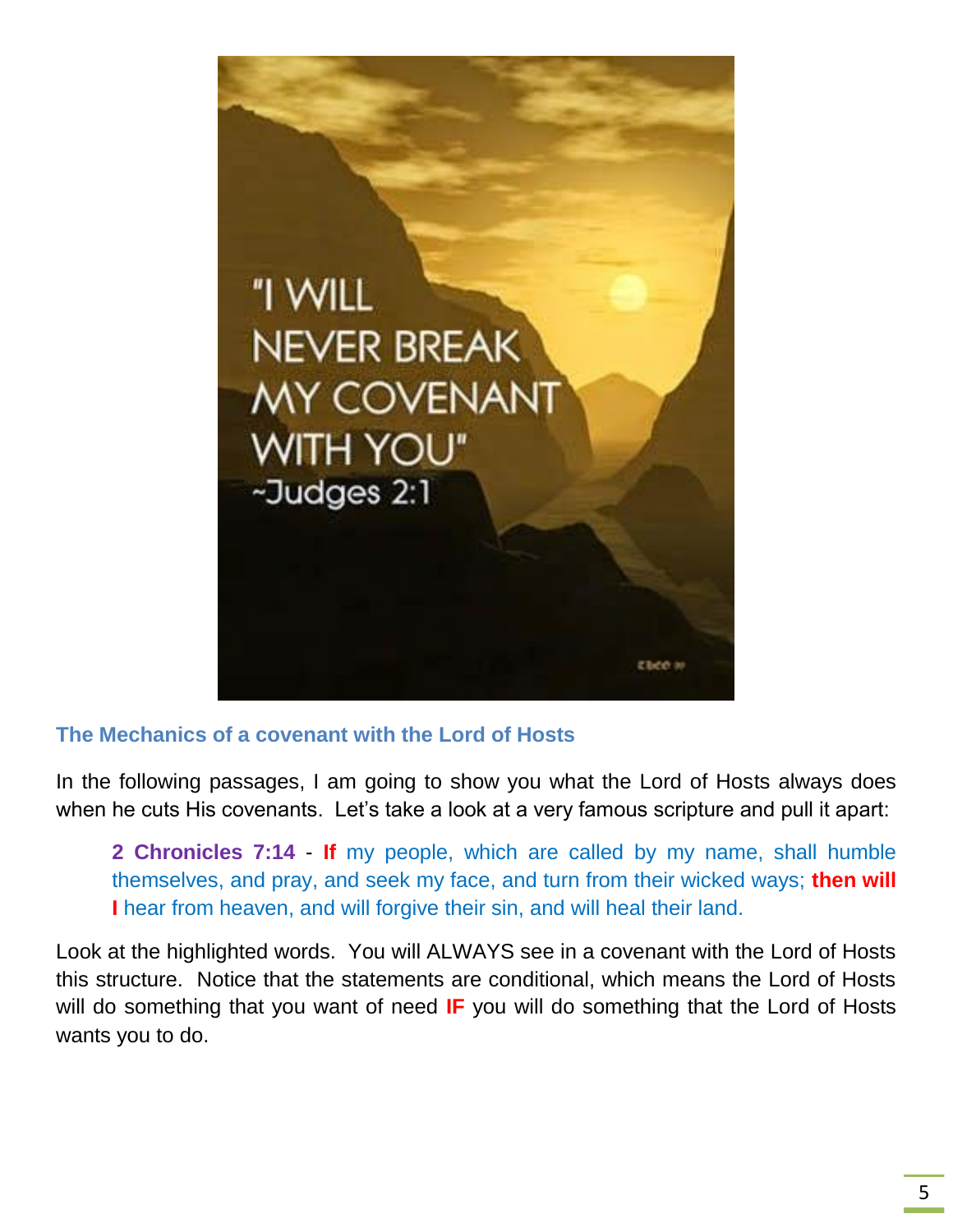

#### **The Mechanics of a covenant with the Lord of Hosts**

In the following passages, I am going to show you what the Lord of Hosts always does when he cuts His covenants. Let's take a look at a very famous scripture and pull it apart:

**2 Chronicles 7:14** - **If** my people, which are called by my name, shall humble themselves, and pray, and seek my face, and turn from their wicked ways; **then will I** hear from heaven, and will forgive their sin, and will heal their land.

Look at the highlighted words. You will ALWAYS see in a covenant with the Lord of Hosts this structure. Notice that the statements are conditional, which means the Lord of Hosts will do something that you want of need **IF** you will do something that the Lord of Hosts wants you to do.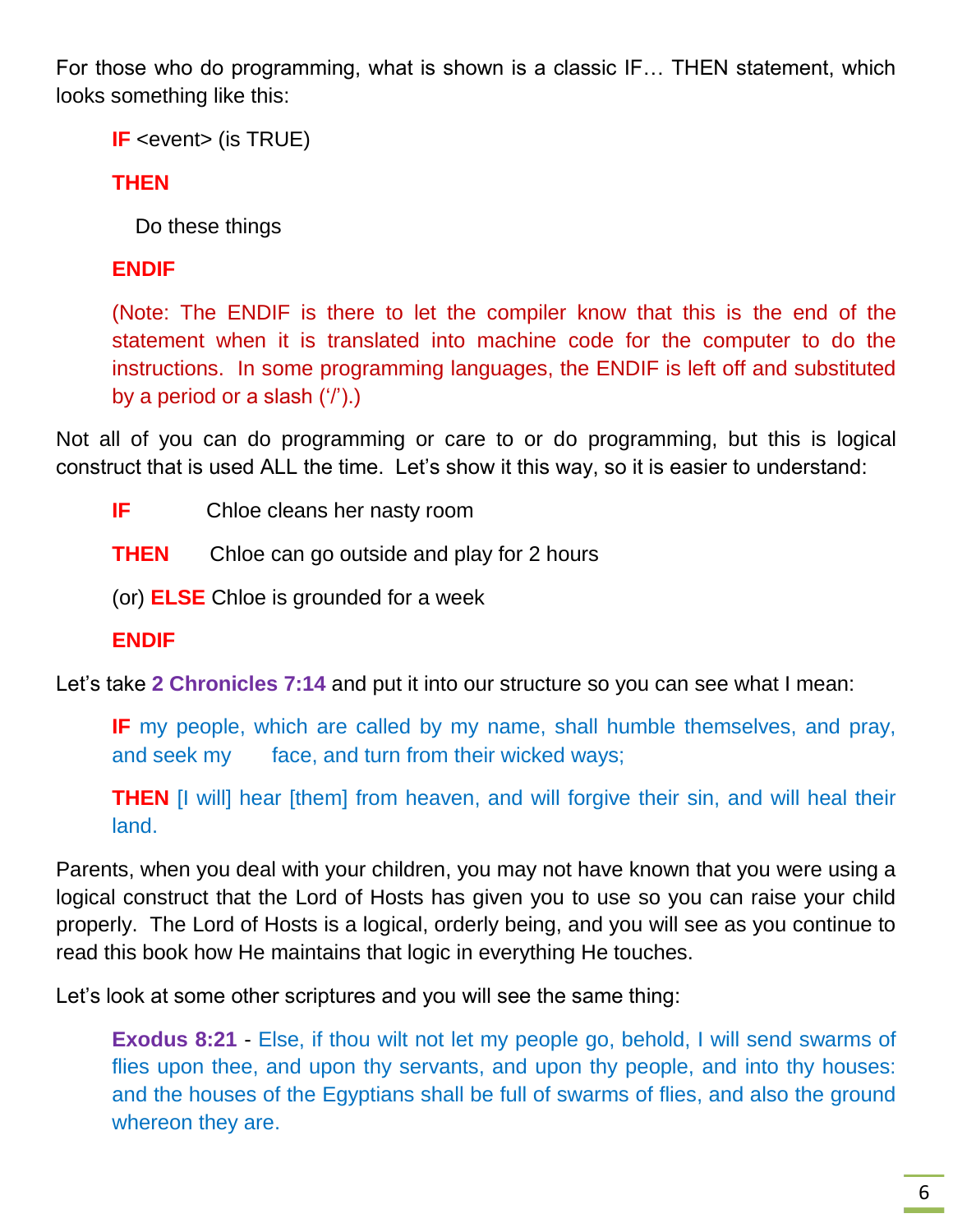For those who do programming, what is shown is a classic IF… THEN statement, which looks something like this:

**IF** <event> (is TRUE)

**THEN**

Do these things

#### **ENDIF**

(Note: The ENDIF is there to let the compiler know that this is the end of the statement when it is translated into machine code for the computer to do the instructions. In some programming languages, the ENDIF is left off and substituted by a period or a slash ('/').)

Not all of you can do programming or care to or do programming, but this is logical construct that is used ALL the time. Let's show it this way, so it is easier to understand:

- **IF** Chloe cleans her nasty room
- **THEN** Chloe can go outside and play for 2 hours
- (or) **ELSE** Chloe is grounded for a week
- **ENDIF**

Let's take **2 Chronicles 7:14** and put it into our structure so you can see what I mean:

**IF** my people, which are called by my name, shall humble themselves, and pray, and seek my face, and turn from their wicked ways;

**THEN** [I will] hear [them] from heaven, and will forgive their sin, and will heal their land.

Parents, when you deal with your children, you may not have known that you were using a logical construct that the Lord of Hosts has given you to use so you can raise your child properly. The Lord of Hosts is a logical, orderly being, and you will see as you continue to read this book how He maintains that logic in everything He touches.

Let's look at some other scriptures and you will see the same thing:

**Exodus 8:21** - Else, if thou wilt not let my people go, behold, I will send swarms of flies upon thee, and upon thy servants, and upon thy people, and into thy houses: and the houses of the Egyptians shall be full of swarms of flies, and also the ground whereon they are.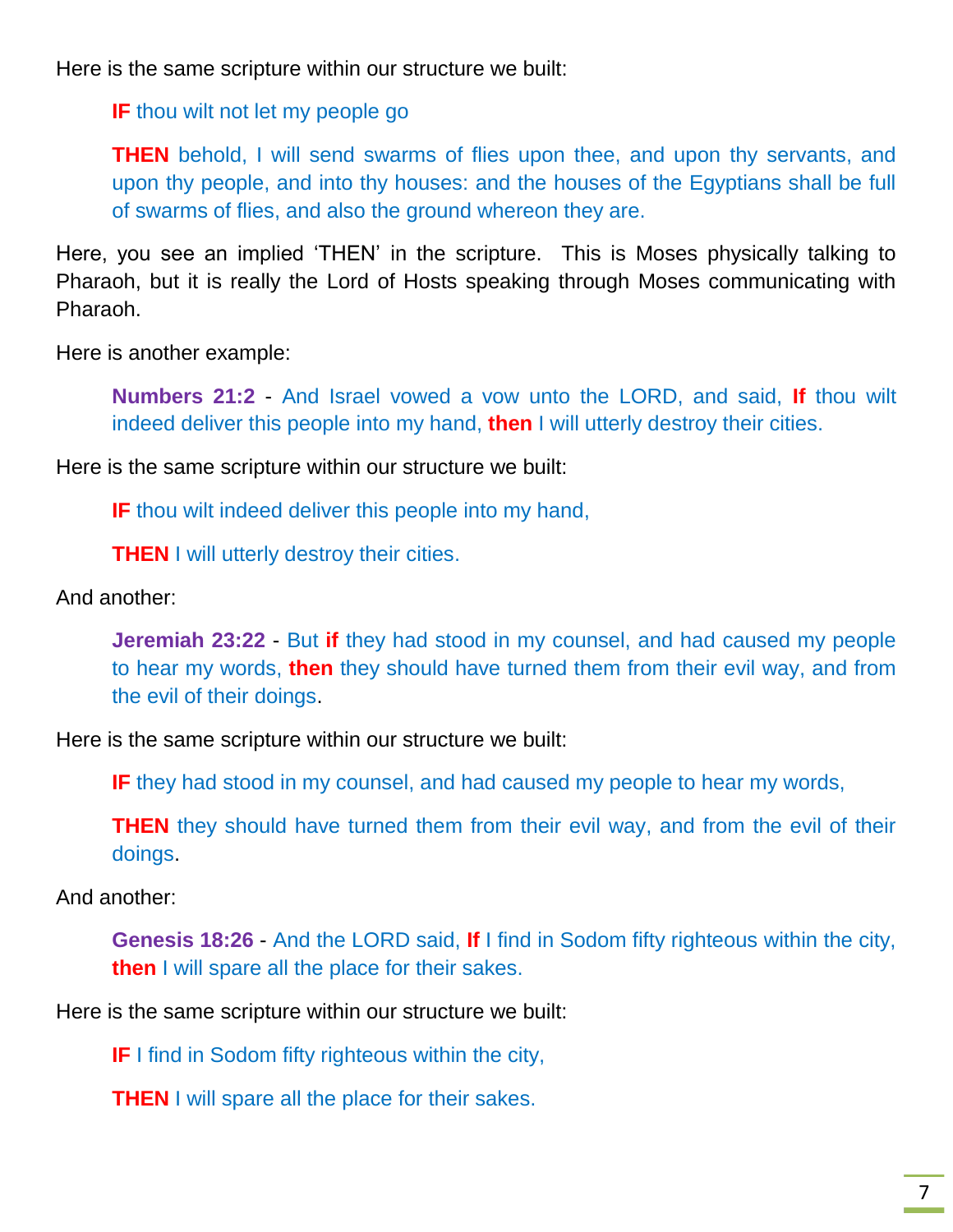Here is the same scripture within our structure we built:

**IF** thou wilt not let my people go

**THEN** behold, I will send swarms of flies upon thee, and upon thy servants, and upon thy people, and into thy houses: and the houses of the Egyptians shall be full of swarms of flies, and also the ground whereon they are.

Here, you see an implied 'THEN' in the scripture. This is Moses physically talking to Pharaoh, but it is really the Lord of Hosts speaking through Moses communicating with Pharaoh.

Here is another example:

**Numbers 21:2** - And Israel vowed a vow unto the LORD, and said, **If** thou wilt indeed deliver this people into my hand, **then** I will utterly destroy their cities.

Here is the same scripture within our structure we built:

**IF** thou wilt indeed deliver this people into my hand,

**THEN** I will utterly destroy their cities.

And another:

**Jeremiah 23:22** - But **if** they had stood in my counsel, and had caused my people to hear my words, **then** they should have turned them from their evil way, and from the evil of their doings.

Here is the same scripture within our structure we built:

**IF** they had stood in my counsel, and had caused my people to hear my words,

**THEN** they should have turned them from their evil way, and from the evil of their doings.

And another:

**Genesis 18:26** - And the LORD said, **If** I find in Sodom fifty righteous within the city, **then** I will spare all the place for their sakes.

Here is the same scripture within our structure we built:

**IF** I find in Sodom fifty righteous within the city,

**THEN** I will spare all the place for their sakes.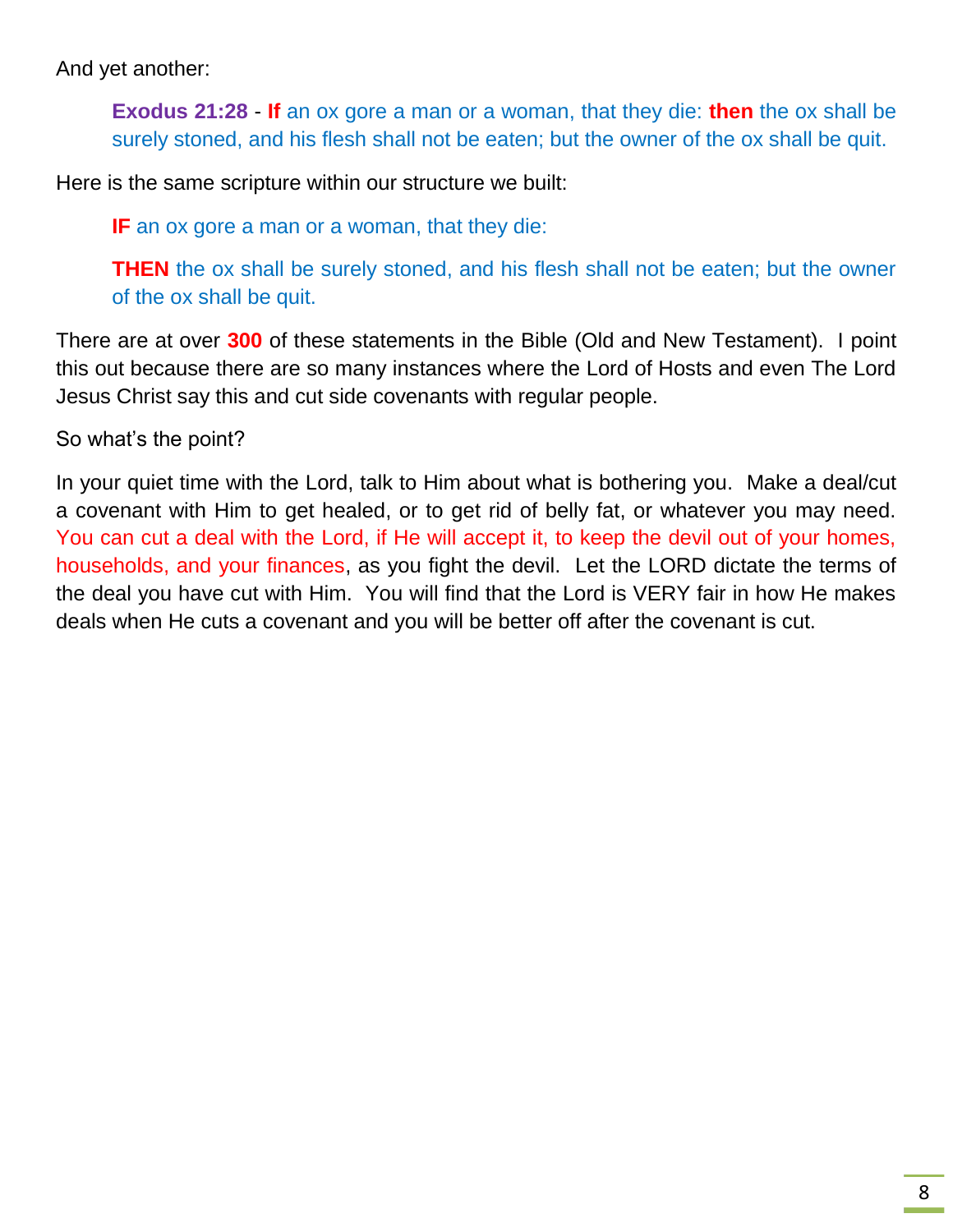And yet another:

**Exodus 21:28** - **If** an ox gore a man or a woman, that they die: **then** the ox shall be surely stoned, and his flesh shall not be eaten; but the owner of the ox shall be quit.

Here is the same scripture within our structure we built:

**IF** an ox gore a man or a woman, that they die:

**THEN** the ox shall be surely stoned, and his flesh shall not be eaten; but the owner of the ox shall be quit.

There are at over **300** of these statements in the Bible (Old and New Testament). I point this out because there are so many instances where the Lord of Hosts and even The Lord Jesus Christ say this and cut side covenants with regular people.

So what's the point?

In your quiet time with the Lord, talk to Him about what is bothering you. Make a deal/cut a covenant with Him to get healed, or to get rid of belly fat, or whatever you may need. You can cut a deal with the Lord, if He will accept it, to keep the devil out of your homes, households, and your finances, as you fight the devil. Let the LORD dictate the terms of the deal you have cut with Him. You will find that the Lord is VERY fair in how He makes deals when He cuts a covenant and you will be better off after the covenant is cut.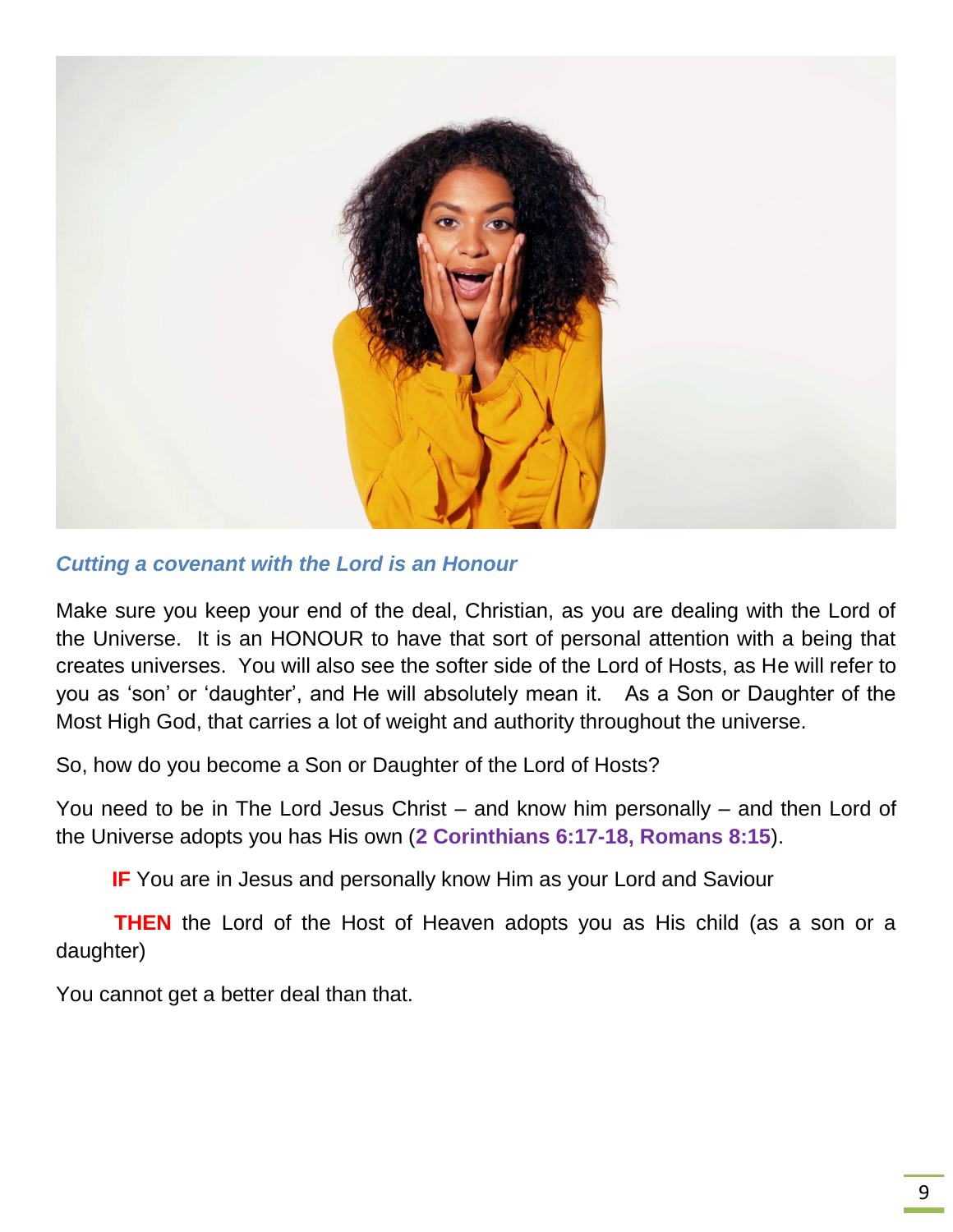

#### *Cutting a covenant with the Lord is an Honour*

Make sure you keep your end of the deal, Christian, as you are dealing with the Lord of the Universe. It is an HONOUR to have that sort of personal attention with a being that creates universes. You will also see the softer side of the Lord of Hosts, as He will refer to you as 'son' or 'daughter', and He will absolutely mean it. As a Son or Daughter of the Most High God, that carries a lot of weight and authority throughout the universe.

So, how do you become a Son or Daughter of the Lord of Hosts?

You need to be in The Lord Jesus Christ – and know him personally – and then Lord of the Universe adopts you has His own (**2 Corinthians 6:17-18, Romans 8:15**).

**IF** You are in Jesus and personally know Him as your Lord and Saviour

**THEN** the Lord of the Host of Heaven adopts you as His child (as a son or a daughter)

You cannot get a better deal than that.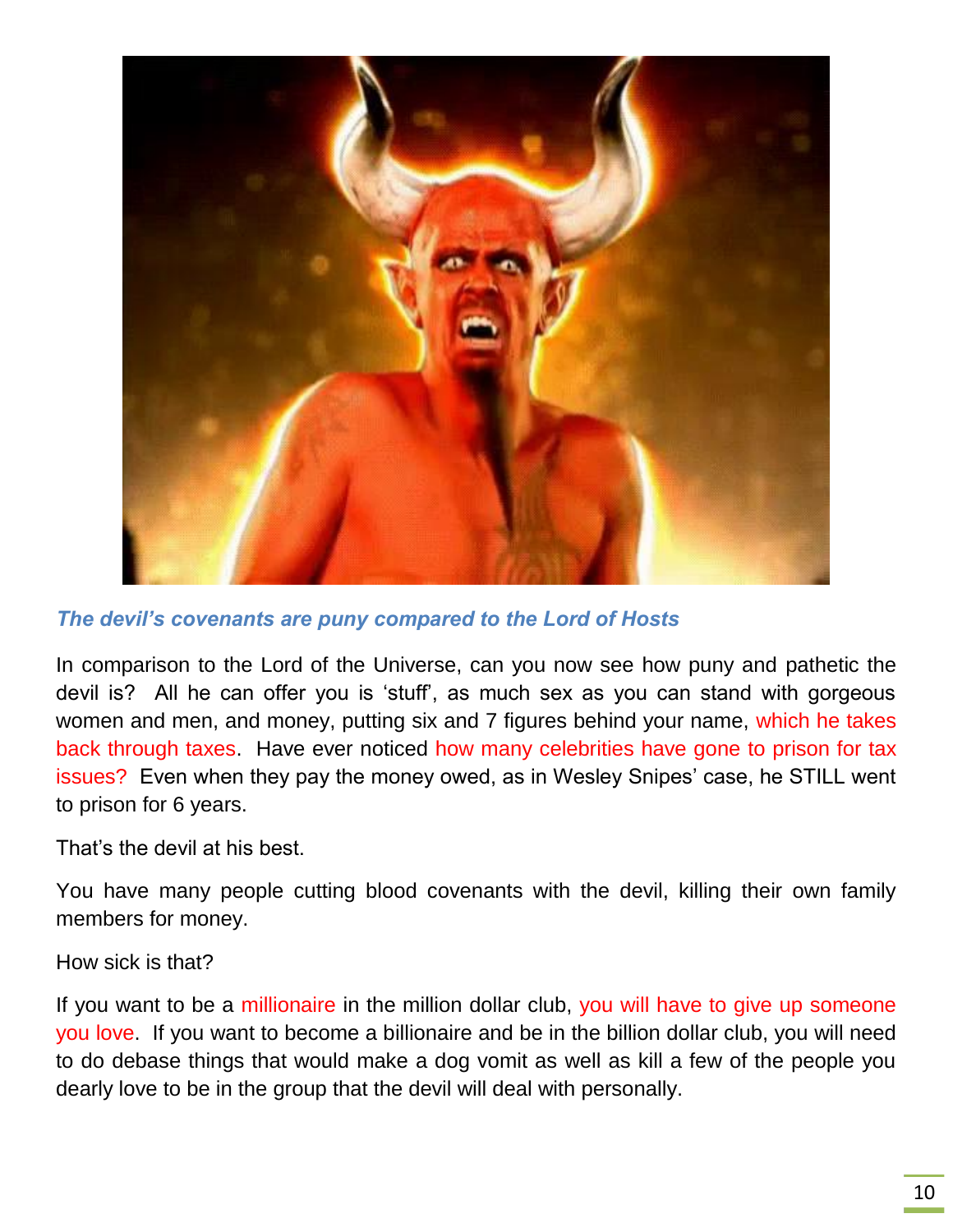

*The devil's covenants are puny compared to the Lord of Hosts*

In comparison to the Lord of the Universe, can you now see how puny and pathetic the devil is? All he can offer you is 'stuff', as much sex as you can stand with gorgeous women and men, and money, putting six and 7 figures behind your name, which he takes back through taxes. Have ever noticed how many celebrities have gone to prison for tax issues? Even when they pay the money owed, as in Wesley Snipes' case, he STILL went to prison for 6 years.

That's the devil at his best.

You have many people cutting blood covenants with the devil, killing their own family members for money.

How sick is that?

If you want to be a millionaire in the million dollar club, you will have to give up someone you love. If you want to become a billionaire and be in the billion dollar club, you will need to do debase things that would make a dog vomit as well as kill a few of the people you dearly love to be in the group that the devil will deal with personally.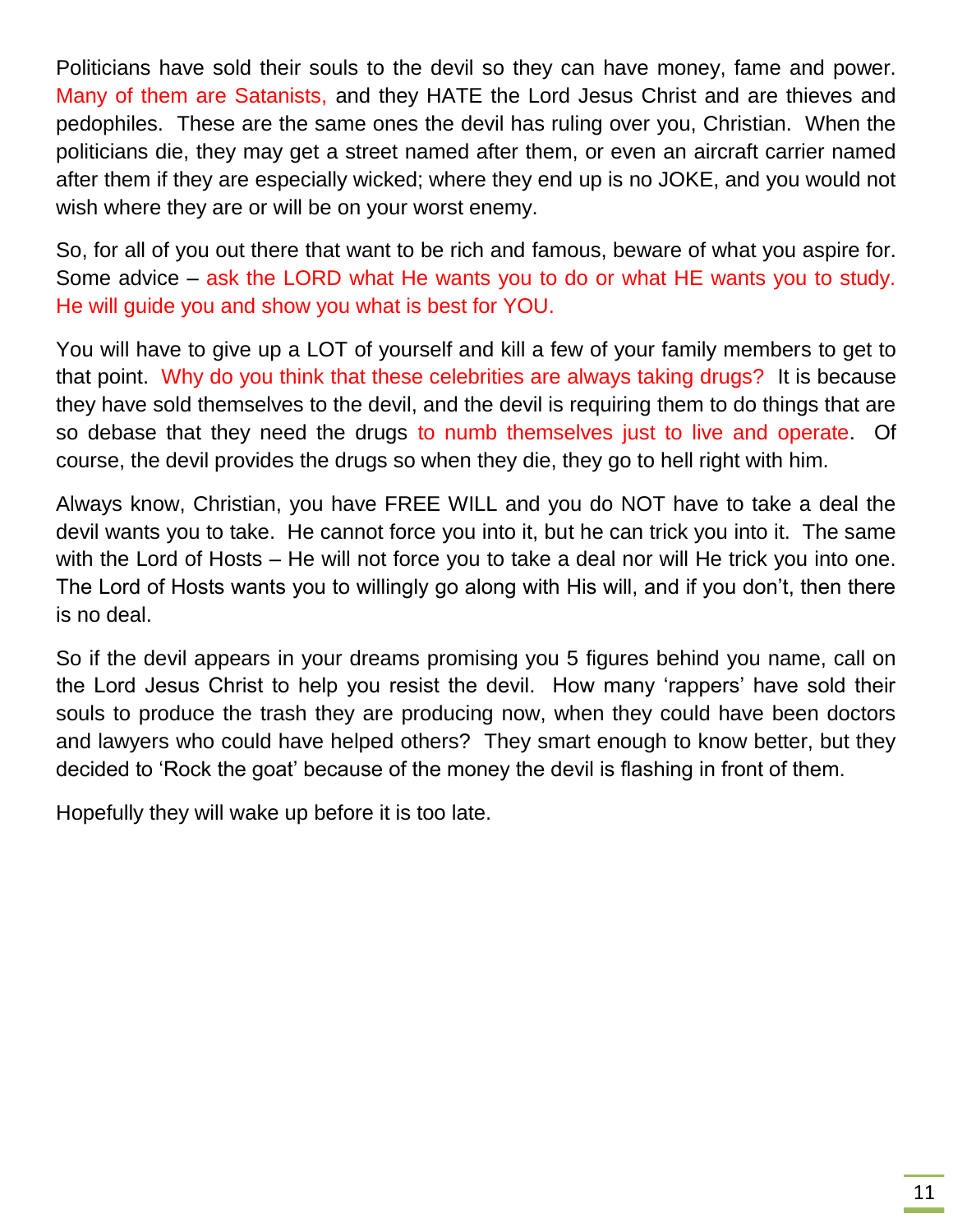Politicians have sold their souls to the devil so they can have money, fame and power. Many of them are Satanists, and they HATE the Lord Jesus Christ and are thieves and pedophiles. These are the same ones the devil has ruling over you, Christian. When the politicians die, they may get a street named after them, or even an aircraft carrier named after them if they are especially wicked; where they end up is no JOKE, and you would not wish where they are or will be on your worst enemy.

So, for all of you out there that want to be rich and famous, beware of what you aspire for. Some advice – ask the LORD what He wants you to do or what HE wants you to study. He will guide you and show you what is best for YOU.

You will have to give up a LOT of yourself and kill a few of your family members to get to that point. Why do you think that these celebrities are always taking drugs? It is because they have sold themselves to the devil, and the devil is requiring them to do things that are so debase that they need the drugs to numb themselves just to live and operate. Of course, the devil provides the drugs so when they die, they go to hell right with him.

Always know, Christian, you have FREE WILL and you do NOT have to take a deal the devil wants you to take. He cannot force you into it, but he can trick you into it. The same with the Lord of Hosts – He will not force you to take a deal nor will He trick you into one. The Lord of Hosts wants you to willingly go along with His will, and if you don't, then there is no deal.

So if the devil appears in your dreams promising you 5 figures behind you name, call on the Lord Jesus Christ to help you resist the devil. How many 'rappers' have sold their souls to produce the trash they are producing now, when they could have been doctors and lawyers who could have helped others? They smart enough to know better, but they decided to 'Rock the goat' because of the money the devil is flashing in front of them.

Hopefully they will wake up before it is too late.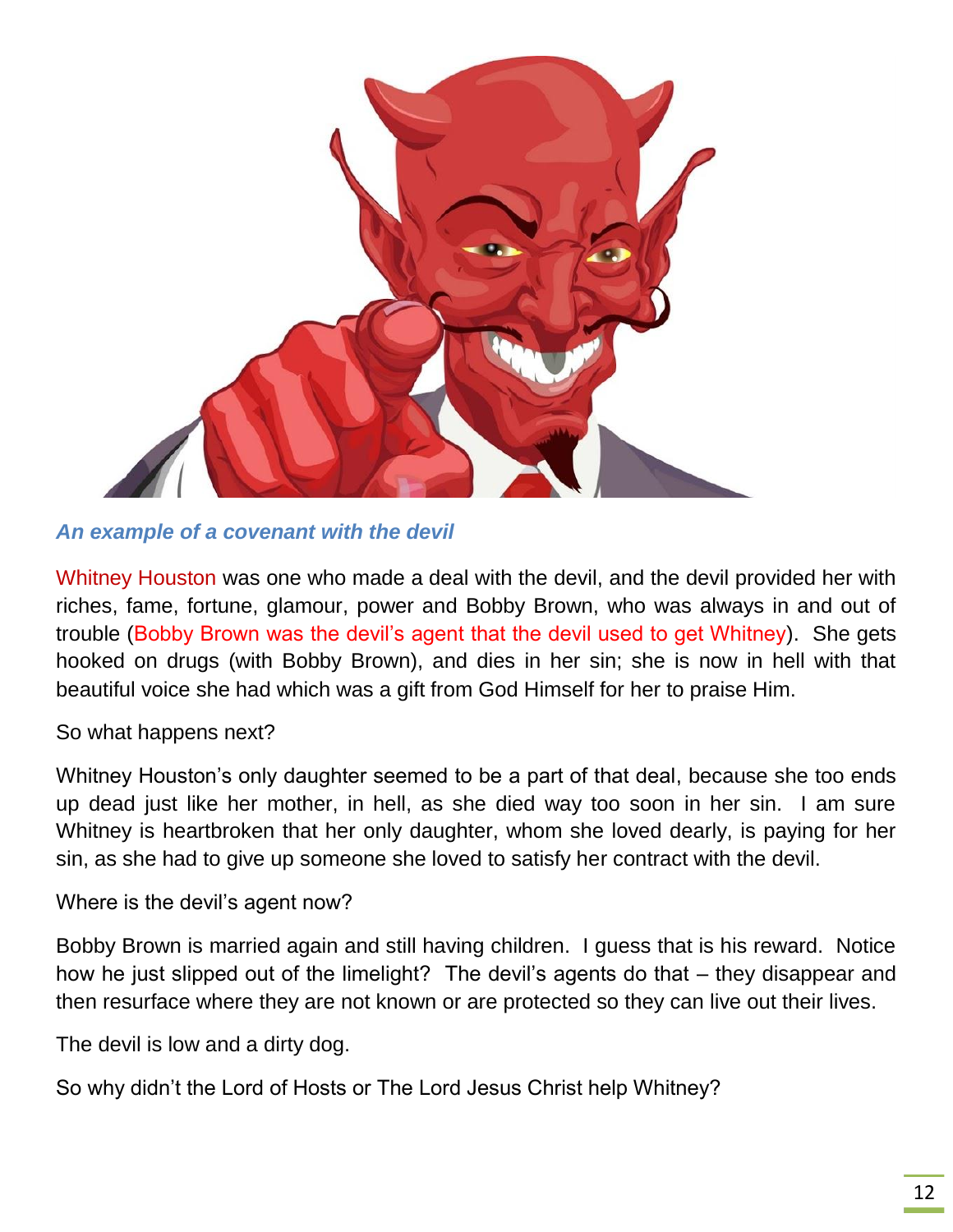

*An example of a covenant with the devil*

Whitney Houston was one who made a deal with the devil, and the devil provided her with riches, fame, fortune, glamour, power and Bobby Brown, who was always in and out of trouble (Bobby Brown was the devil's agent that the devil used to get Whitney). She gets hooked on drugs (with Bobby Brown), and dies in her sin; she is now in hell with that beautiful voice she had which was a gift from God Himself for her to praise Him.

So what happens next?

Whitney Houston's only daughter seemed to be a part of that deal, because she too ends up dead just like her mother, in hell, as she died way too soon in her sin. I am sure Whitney is heartbroken that her only daughter, whom she loved dearly, is paying for her sin, as she had to give up someone she loved to satisfy her contract with the devil.

Where is the devil's agent now?

Bobby Brown is married again and still having children. I guess that is his reward. Notice how he just slipped out of the limelight? The devil's agents do that – they disappear and then resurface where they are not known or are protected so they can live out their lives.

The devil is low and a dirty dog.

So why didn't the Lord of Hosts or The Lord Jesus Christ help Whitney?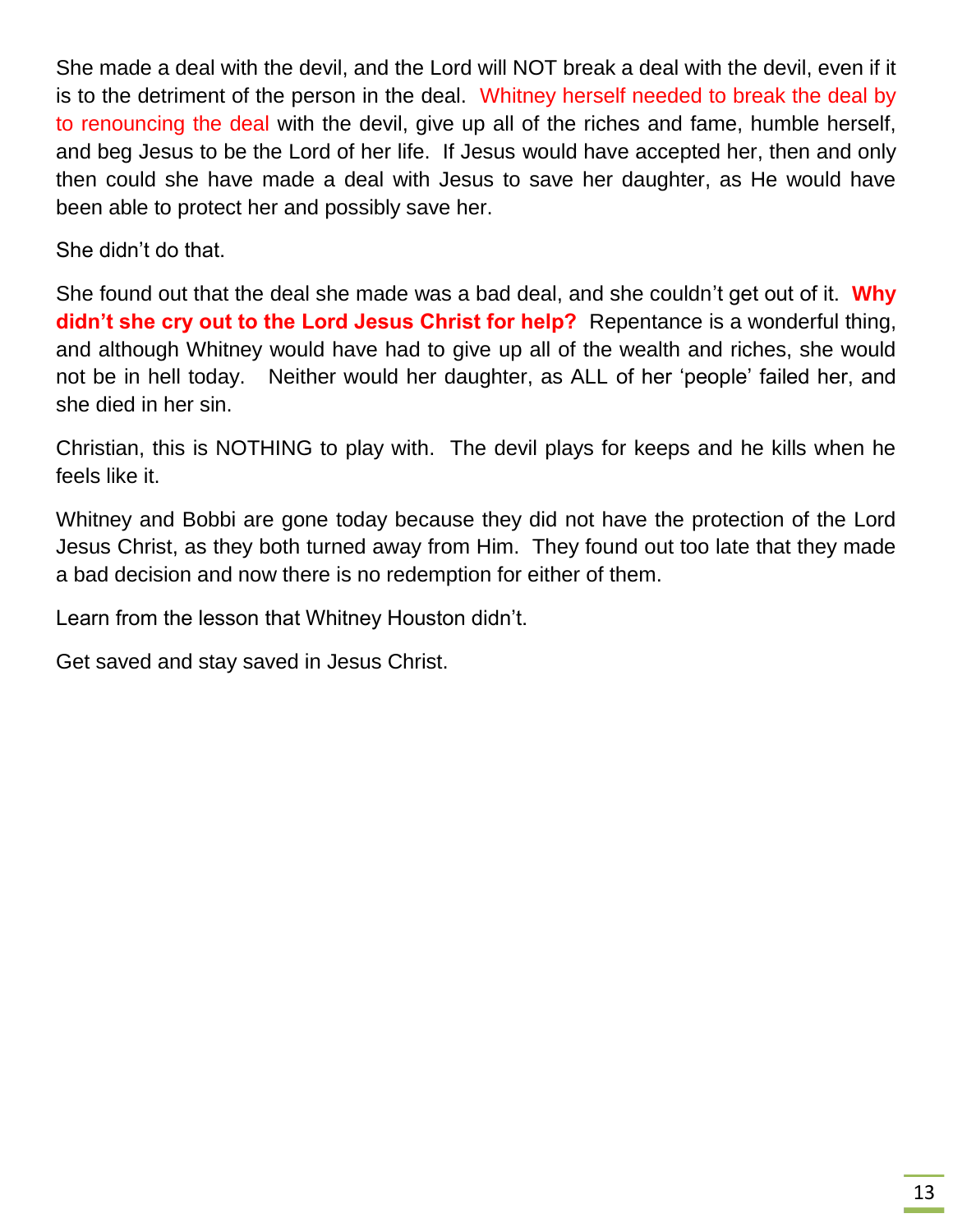She made a deal with the devil, and the Lord will NOT break a deal with the devil, even if it is to the detriment of the person in the deal. Whitney herself needed to break the deal by to renouncing the deal with the devil, give up all of the riches and fame, humble herself, and beg Jesus to be the Lord of her life. If Jesus would have accepted her, then and only then could she have made a deal with Jesus to save her daughter, as He would have been able to protect her and possibly save her.

She didn't do that.

She found out that the deal she made was a bad deal, and she couldn't get out of it. **Why didn't she cry out to the Lord Jesus Christ for help?** Repentance is a wonderful thing, and although Whitney would have had to give up all of the wealth and riches, she would not be in hell today. Neither would her daughter, as ALL of her 'people' failed her, and she died in her sin.

Christian, this is NOTHING to play with. The devil plays for keeps and he kills when he feels like it.

Whitney and Bobbi are gone today because they did not have the protection of the Lord Jesus Christ, as they both turned away from Him. They found out too late that they made a bad decision and now there is no redemption for either of them.

Learn from the lesson that Whitney Houston didn't.

Get saved and stay saved in Jesus Christ.